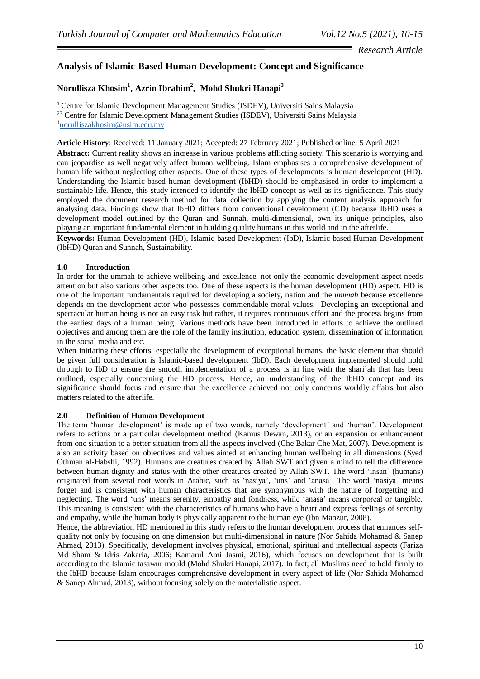# *Research Article*

# **Analysis of Islamic-Based Human Development: Concept and Significance**

# **Norullisza Khosim<sup>1</sup> , Azrin Ibrahim<sup>2</sup> , Mohd Shukri Hanapi<sup>3</sup>**

<sup>1</sup> Centre for Islamic Development Management Studies (ISDEV), Universiti Sains Malaysia <sup>23</sup> Centre for Islamic Development Management Studies (ISDEV), Universiti Sains Malaysia <sup>1</sup>[norulliszakhosim@usim.edu.my](mailto:norulliszakhosim@usim.edu.my)

**Article History**: Received: 11 January 2021; Accepted: 27 February 2021; Published online: 5 April 2021

Abstract: Current reality shows an increase in various problems afflicting society. This scenario is worrying and can jeopardise as well negatively affect human wellbeing. Islam emphasises a comprehensive development of human life without neglecting other aspects. One of these types of developments is human development (HD). Understanding the Islamic-based human development (IbHD) should be emphasised in order to implement a sustainable life. Hence, this study intended to identify the IbHD concept as well as its significance. This study employed the document research method for data collection by applying the content analysis approach for analysing data. Findings show that IbHD differs from conventional development (CD) because IbHD uses a development model outlined by the Quran and Sunnah, multi-dimensional, own its unique principles, also playing an important fundamental element in building quality humans in this world and in the afterlife.

**Keywords:** Human Development (HD), Islamic-based Development (IbD), Islamic-based Human Development (IbHD) Quran and Sunnah, Sustainability.

## **1.0 Introduction**

In order for the ummah to achieve wellbeing and excellence, not only the economic development aspect needs attention but also various other aspects too. One of these aspects is the human development (HD) aspect. HD is one of the important fundamentals required for developing a society, nation and the *ummah* because excellence depends on the development actor who possesses commendable moral values. Developing an exceptional and spectacular human being is not an easy task but rather, it requires continuous effort and the process begins from the earliest days of a human being. Various methods have been introduced in efforts to achieve the outlined objectives and among them are the role of the family institution, education system, dissemination of information in the social media and etc.

When initiating these efforts, especially the development of exceptional humans, the basic element that should be given full consideration is Islamic-based development (IbD). Each development implemented should hold through to IbD to ensure the smooth implementation of a process is in line with the shari'ah that has been outlined, especially concerning the HD process. Hence, an understanding of the IbHD concept and its significance should focus and ensure that the excellence achieved not only concerns worldly affairs but also matters related to the afterlife.

## **2.0 Definition of Human Development**

The term 'human development' is made up of two words, namely 'development' and 'human'. Development refers to actions or a particular development method (Kamus Dewan, 2013), or an expansion or enhancement from one situation to a better situation from all the aspects involved (Che Bakar Che Mat, 2007). Development is also an activity based on objectives and values aimed at enhancing human wellbeing in all dimensions (Syed Othman al-Habshi, 1992). Humans are creatures created by Allah SWT and given a mind to tell the difference between human dignity and status with the other creatures created by Allah SWT. The word 'insan' (humans) originated from several root words in Arabic, such as 'nasiya', 'uns' and 'anasa'. The word 'nasiya' means forget and is consistent with human characteristics that are synonymous with the nature of forgetting and neglecting. The word 'uns' means serenity, empathy and fondness, while 'anasa' means corporeal or tangible. This meaning is consistent with the characteristics of humans who have a heart and express feelings of serenity and empathy, while the human body is physically apparent to the human eye (Ibn Manzur, 2008).

Hence, the abbreviation HD mentioned in this study refers to the human development process that enhances selfquality not only by focusing on one dimension but multi-dimensional in nature (Nor Sahida Mohamad & Sanep Ahmad, 2013). Specifically, development involves physical, emotional, spiritual and intellectual aspects (Fariza Md Sham & Idris Zakaria, 2006; Kamarul Ami Jasmi, 2016), which focuses on development that is built according to the Islamic tasawur mould (Mohd Shukri Hanapi, 2017). In fact, all Muslims need to hold firmly to the IbHD because Islam encourages comprehensive development in every aspect of life (Nor Sahida Mohamad & Sanep Ahmad, 2013), without focusing solely on the materialistic aspect.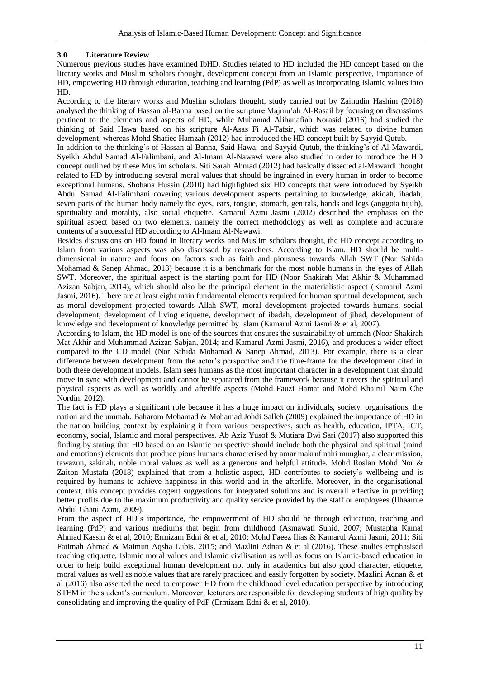## **3.0 Literature Review**

Numerous previous studies have examined IbHD. Studies related to HD included the HD concept based on the literary works and Muslim scholars thought, development concept from an Islamic perspective, importance of HD, empowering HD through education, teaching and learning (PdP) as well as incorporating Islamic values into HD.

According to the literary works and Muslim scholars thought, study carried out by Zainudin Hashim (2018) analysed the thinking of Hassan al-Banna based on the scripture Majmu'ah Al-Rasail by focusing on discussions pertinent to the elements and aspects of HD, while Muhamad Alihanafiah Norasid (2016) had studied the thinking of Said Hawa based on his scripture Al-Asas Fi Al-Tafsir, which was related to divine human development, whereas Mohd Shafiee Hamzah (2012) had introduced the HD concept built by Sayyid Qutub.

In addition to the thinking's of Hassan al-Banna, Said Hawa, and Sayyid Qutub, the thinking's of Al-Mawardi, Syeikh Abdul Samad Al-Falimbani, and Al-Imam Al-Nawawi were also studied in order to introduce the HD concept outlined by these Muslim scholars. Siti Sarah Ahmad (2012) had basically dissected al-Mawardi thought related to HD by introducing several moral values that should be ingrained in every human in order to become exceptional humans. Shohana Hussin (2010) had highlighted six HD concepts that were introduced by Syeikh Abdul Samad Al-Falimbani covering various development aspects pertaining to knowledge, akidah, ibadah, seven parts of the human body namely the eyes, ears, tongue, stomach, genitals, hands and legs (anggota tujuh), spirituality and morality, also social etiquette. Kamarul Azmi Jasmi (2002) described the emphasis on the spiritual aspect based on two elements, namely the correct methodology as well as complete and accurate contents of a successful HD according to Al-Imam Al-Nawawi.

Besides discussions on HD found in literary works and Muslim scholars thought, the HD concept according to Islam from various aspects was also discussed by researchers. According to Islam, HD should be multidimensional in nature and focus on factors such as faith and piousness towards Allah SWT (Nor Sahida Mohamad & Sanep Ahmad, 2013) because it is a benchmark for the most noble humans in the eyes of Allah SWT. Moreover, the spiritual aspect is the starting point for HD (Noor Shakirah Mat Akhir & Muhammad Azizan Sabjan, 2014), which should also be the principal element in the materialistic aspect (Kamarul Azmi Jasmi, 2016). There are at least eight main fundamental elements required for human spiritual development, such as moral development projected towards Allah SWT, moral development projected towards humans, social development, development of living etiquette, development of ibadah, development of iihad, development of knowledge and development of knowledge permitted by Islam (Kamarul Azmi Jasmi & et al, 2007).

According to Islam, the HD model is one of the sources that ensures the sustainability of ummah (Noor Shakirah Mat Akhir and Muhammad Azizan Sabjan, 2014; and Kamarul Azmi Jasmi, 2016), and produces a wider effect compared to the CD model (Nor Sahida Mohamad & Sanep Ahmad, 2013). For example, there is a clear difference between development from the actor's perspective and the time-frame for the development cited in both these development models. Islam sees humans as the most important character in a development that should move in sync with development and cannot be separated from the framework because it covers the spiritual and physical aspects as well as worldly and afterlife aspects (Mohd Fauzi Hamat and Mohd Khairul Naim Che Nordin, 2012).

The fact is HD plays a significant role because it has a huge impact on individuals, society, organisations, the nation and the ummah. Baharom Mohamad & Mohamad Johdi Salleh (2009) explained the importance of HD in the nation building context by explaining it from various perspectives, such as health, education, IPTA, ICT, economy, social, Islamic and moral perspectives. Ab Aziz Yusof & Mutiara Dwi Sari (2017) also supported this finding by stating that HD based on an Islamic perspective should include both the physical and spiritual (mind and emotions) elements that produce pious humans characterised by amar makruf nahi mungkar, a clear mission, tawazun, sakinah, noble moral values as well as a generous and helpful attitude. Mohd Roslan Mohd Nor & Zaiton Mustafa (2018) explained that from a holistic aspect, HD contributes to society's wellbeing and is required by humans to achieve happiness in this world and in the afterlife. Moreover, in the organisational context, this concept provides cogent suggestions for integrated solutions and is overall effective in providing better profits due to the maximum productivity and quality service provided by the staff or employees (Ilhaamie Abdul Ghani Azmi, 2009).

From the aspect of HD's importance, the empowerment of HD should be through education, teaching and learning (PdP) and various mediums that begin from childhood (Asmawati Suhid, 2007; Mustapha Kamal Ahmad Kassin & et al, 2010; Ermizam Edni & et al, 2010; Mohd Faeez Ilias & Kamarul Azmi Jasmi, 2011; Siti Fatimah Ahmad & Maimun Aqsha Lubis, 2015; and Mazlini Adnan & et al (2016). These studies emphasised teaching etiquette, Islamic moral values and Islamic civilisation as well as focus on Islamic-based education in order to help build exceptional human development not only in academics but also good character, etiquette, moral values as well as noble values that are rarely practiced and easily forgotten by society. Mazlini Adnan & et al (2016) also asserted the need to empower HD from the childhood level education perspective by introducing STEM in the student's curriculum. Moreover, lecturers are responsible for developing students of high quality by consolidating and improving the quality of PdP (Ermizam Edni & et al, 2010).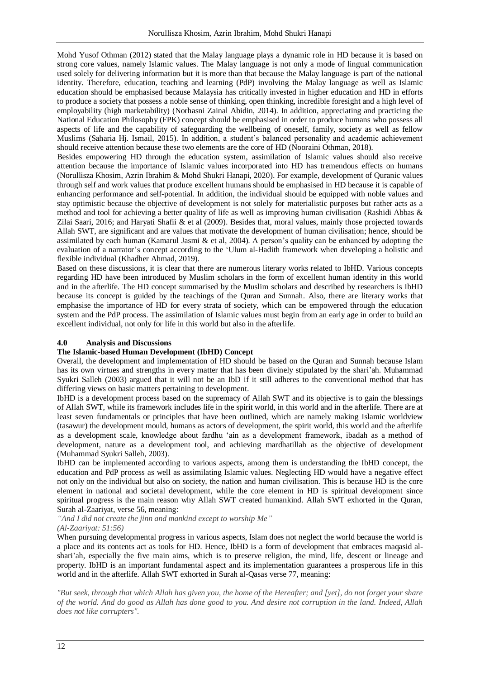Mohd Yusof Othman (2012) stated that the Malay language plays a dynamic role in HD because it is based on strong core values, namely Islamic values. The Malay language is not only a mode of lingual communication used solely for delivering information but it is more than that because the Malay language is part of the national identity. Therefore, education, teaching and learning (PdP) involving the Malay language as well as Islamic education should be emphasised because Malaysia has critically invested in higher education and HD in efforts to produce a society that possess a noble sense of thinking, open thinking, incredible foresight and a high level of employability (high marketability) (Norhasni Zainal Abidin, 2014). In addition, appreciating and practicing the National Education Philosophy (FPK) concept should be emphasised in order to produce humans who possess all aspects of life and the capability of safeguarding the wellbeing of oneself, family, society as well as fellow Muslims (Saharia Hj. Ismail, 2015). In addition, a student's balanced personality and academic achievement should receive attention because these two elements are the core of HD (Nooraini Othman, 2018).

Besides empowering HD through the education system, assimilation of Islamic values should also receive attention because the importance of Islamic values incorporated into HD has tremendous effects on humans (Norullisza Khosim, Azrin Ibrahim & Mohd Shukri Hanapi, 2020). For example, development of Quranic values through self and work values that produce excellent humans should be emphasised in HD because it is capable of enhancing performance and self-potential. In addition, the individual should be equipped with noble values and stay optimistic because the objective of development is not solely for materialistic purposes but rather acts as a method and tool for achieving a better quality of life as well as improving human civilisation (Rashidi Abbas & Zilai Saari, 2016; and Haryati Shafii & et al (2009). Besides that, moral values, mainly those projected towards Allah SWT, are significant and are values that motivate the development of human civilisation; hence, should be assimilated by each human (Kamarul Jasmi & et al, 2004). A person's quality can be enhanced by adopting the evaluation of a narrator's concept according to the 'Ulum al-Hadith framework when developing a holistic and flexible individual (Khadher Ahmad, 2019).

Based on these discussions, it is clear that there are numerous literary works related to IbHD. Various concepts regarding HD have been introduced by Muslim scholars in the form of excellent human identity in this world and in the afterlife. The HD concept summarised by the Muslim scholars and described by researchers is IbHD because its concept is guided by the teachings of the Quran and Sunnah. Also, there are literary works that emphasise the importance of HD for every strata of society, which can be empowered through the education system and the PdP process. The assimilation of Islamic values must begin from an early age in order to build an excellent individual, not only for life in this world but also in the afterlife.

#### **4.0 Analysis and Discussions**

#### **The Islamic-based Human Development (IbHD) Concept**

Overall, the development and implementation of HD should be based on the Quran and Sunnah because Islam has its own virtues and strengths in every matter that has been divinely stipulated by the shari'ah. Muhammad Syukri Salleh (2003) argued that it will not be an IbD if it still adheres to the conventional method that has differing views on basic matters pertaining to development.

IbHD is a development process based on the supremacy of Allah SWT and its objective is to gain the blessings of Allah SWT, while its framework includes life in the spirit world, in this world and in the afterlife. There are at least seven fundamentals or principles that have been outlined, which are namely making Islamic worldview (tasawur) the development mould, humans as actors of development, the spirit world, this world and the afterlife as a development scale, knowledge about fardhu 'ain as a development framework, ibadah as a method of development, nature as a development tool, and achieving mardhatillah as the objective of development (Muhammad Syukri Salleh, 2003).

IbHD can be implemented according to various aspects, among them is understanding the IbHD concept, the education and PdP process as well as assimilating Islamic values. Neglecting HD would have a negative effect not only on the individual but also on society, the nation and human civilisation. This is because HD is the core element in national and societal development, while the core element in HD is spiritual development since spiritual progress is the main reason why Allah SWT created humankind. Allah SWT exhorted in the Quran, Surah al-Zaariyat, verse 56, meaning:

*"And I did not create the jinn and mankind except to worship Me" (Al-Zaariyat: 51:56)*

When pursuing developmental progress in various aspects, Islam does not neglect the world because the world is a place and its contents act as tools for HD. Hence, IbHD is a form of development that embraces maqasid alshari'ah, especially the five main aims, which is to preserve religion, the mind, life, descent or lineage and property. IbHD is an important fundamental aspect and its implementation guarantees a prosperous life in this world and in the afterlife. Allah SWT exhorted in Surah al-Qasas verse 77, meaning:

*"But seek, through that which Allah has given you, the home of the Hereafter; and [yet], do not forget your share of the world. And do good as Allah has done good to you. And desire not corruption in the land. Indeed, Allah does not like corrupters".*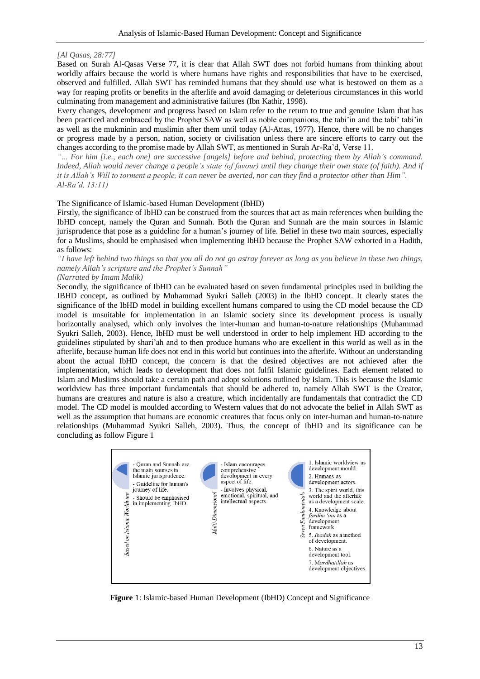#### *[Al Qasas, 28:77]*

Based on Surah Al-Qasas Verse 77, it is clear that Allah SWT does not forbid humans from thinking about worldly affairs because the world is where humans have rights and responsibilities that have to be exercised, observed and fulfilled. Allah SWT has reminded humans that they should use what is bestowed on them as a way for reaping profits or benefits in the afterlife and avoid damaging or deleterious circumstances in this world culminating from management and administrative failures (Ibn Kathir, 1998).

Every changes, development and progress based on Islam refer to the return to true and genuine Islam that has been practiced and embraced by the Prophet SAW as well as noble companions, the tabi'in and the tabi' tabi'in as well as the mukminin and muslimin after them until today (Al-Attas, 1977). Hence, there will be no changes or progress made by a person, nation, society or civilisation unless there are sincere efforts to carry out the changes according to the promise made by Allah SWT, as mentioned in Surah Ar-Ra'd, Verse 11.

*"*... *For him [i.e., each one] are successive [angels] before and behind, protecting them by Allah's command. Indeed, Allah would never change a people's state (of favour) until they change their own state (of faith). And if it is Allah's Will to torment a people, it can never be averted, nor can they find a protector other than Him". Al-Ra'd, 13:11)*

#### The Significance of Islamic-based Human Development (IbHD)

Firstly, the significance of IbHD can be construed from the sources that act as main references when building the IbHD concept, namely the Quran and Sunnah. Both the Quran and Sunnah are the main sources in Islamic jurisprudence that pose as a guideline for a human's journey of life. Belief in these two main sources, especially for a Muslims, should be emphasised when implementing IbHD because the Prophet SAW exhorted in a Hadith, as follows:

*"I have left behind two things so that you all do not go astray forever as long as you believe in these two things, namely Allah's scripture and the Prophet's Sunnah"* 

# *(Narrated by Imam Malik)*

Secondly, the significance of IbHD can be evaluated based on seven fundamental principles used in building the IBHD concept, as outlined by Muhammad Syukri Salleh (2003) in the IbHD concept. It clearly states the significance of the IbHD model in building excellent humans compared to using the CD model because the CD model is unsuitable for implementation in an Islamic society since its development process is usually horizontally analysed, which only involves the inter-human and human-to-nature relationships (Muhammad Syukri Salleh, 2003). Hence, IbHD must be well understood in order to help implement HD according to the guidelines stipulated by shari'ah and to then produce humans who are excellent in this world as well as in the afterlife, because human life does not end in this world but continues into the afterlife. Without an understanding about the actual IbHD concept, the concern is that the desired objectives are not achieved after the implementation, which leads to development that does not fulfil Islamic guidelines. Each element related to Islam and Muslims should take a certain path and adopt solutions outlined by Islam. This is because the Islamic worldview has three important fundamentals that should be adhered to, namely Allah SWT is the Creator, humans are creatures and nature is also a creature, which incidentally are fundamentals that contradict the CD model. The CD model is moulded according to Western values that do not advocate the belief in Allah SWT as well as the assumption that humans are economic creatures that focus only on inter-human and human-to-nature relationships (Muhammad Syukri Salleh, 2003). Thus, the concept of IbHD and its significance can be concluding as follow Figure 1



**Figure** 1: Islamic-based Human Development (IbHD) Concept and Significance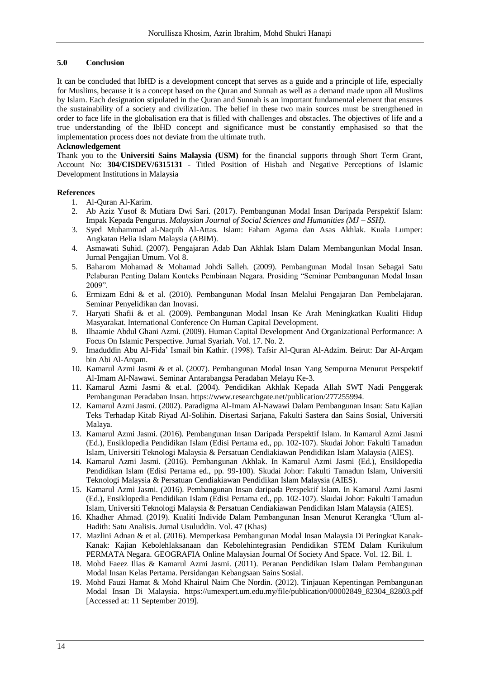## **5.0 Conclusion**

It can be concluded that IbHD is a development concept that serves as a guide and a principle of life, especially for Muslims, because it is a concept based on the Quran and Sunnah as well as a demand made upon all Muslims by Islam. Each designation stipulated in the Quran and Sunnah is an important fundamental element that ensures the sustainability of a society and civilization. The belief in these two main sources must be strengthened in order to face life in the globalisation era that is filled with challenges and obstacles. The objectives of life and a true understanding of the IbHD concept and significance must be constantly emphasised so that the implementation process does not deviate from the ultimate truth.

### **Acknowledgement**

Thank you to the **Universiti Sains Malaysia (USM)** for the financial supports through Short Term Grant, Account No: **304/CISDEV/6315131** - Titled Position of Hisbah and Negative Perceptions of Islamic Development Institutions in Malaysia

## **References**

- 1. Al-Quran Al-Karim.
- 2. Ab Aziz Yusof & Mutiara Dwi Sari. (2017). Pembangunan Modal Insan Daripada Perspektif Islam: Impak Kepada Pengurus. *Malaysian Journal of Social Sciences and Humanities (MJ – SSH)*.
- 3. Syed Muhammad al-Naquib Al-Attas. Islam: Faham Agama dan Asas Akhlak. Kuala Lumper: Angkatan Belia Islam Malaysia (ABIM).
- 4. Asmawati Suhid. (2007). Pengajaran Adab Dan Akhlak Islam Dalam Membangunkan Modal Insan. Jurnal Pengajian Umum. Vol 8.
- 5. Baharom Mohamad & Mohamad Johdi Salleh. (2009). Pembangunan Modal Insan Sebagai Satu Pelaburan Penting Dalam Konteks Pembinaan Negara. Prosiding "Seminar Pembangunan Modal Insan 2009".
- 6. Ermizam Edni & et al. (2010). Pembangunan Modal Insan Melalui Pengajaran Dan Pembelajaran. Seminar Penyelidikan dan Inovasi.
- 7. Haryati Shafii & et al. (2009). Pembangunan Modal Insan Ke Arah Meningkatkan Kualiti Hidup Masyarakat. International Conference On Human Capital Development.
- 8. Ilhaamie Abdul Ghani Azmi. (2009). Human Capital Development And Organizational Performance: A Focus On Islamic Perspective. Jurnal Syariah. Vol. 17. No. 2.
- 9. Imaduddin Abu Al-Fida' Ismail bin Kathir. (1998). Tafsir Al-Quran Al-Adzim. Beirut: Dar Al-Arqam bin Abi Al-Arqam.
- 10. Kamarul Azmi Jasmi & et al. (2007). Pembangunan Modal Insan Yang Sempurna Menurut Perspektif Al-Imam Al-Nawawi. Seminar Antarabangsa Peradaban Melayu Ke-3.
- 11. Kamarul Azmi Jasmi & et.al. (2004). Pendidikan Akhlak Kepada Allah SWT Nadi Penggerak Pembangunan Peradaban Insan. [https://www.researchgate.net/publication/277255994.](https://www.researchgate.net/publication/277255994)
- 12. Kamarul Azmi Jasmi. (2002). Paradigma Al-Imam Al-Nawawi Dalam Pembangunan Insan: Satu Kajian Teks Terhadap Kitab Riyad Al-Solihin. Disertasi Sarjana, Fakulti Sastera dan Sains Sosial, Universiti Malaya.
- 13. Kamarul Azmi Jasmi. (2016). Pembangunan Insan Daripada Perspektif Islam. In Kamarul Azmi Jasmi (Ed.), Ensiklopedia Pendidikan Islam (Edisi Pertama ed., pp. 102-107). Skudai Johor: Fakulti Tamadun Islam, Universiti Teknologi Malaysia & Persatuan Cendiakiawan Pendidikan Islam Malaysia (AIES).
- 14. Kamarul Azmi Jasmi. (2016). Pembangunan Akhlak. In Kamarul Azmi Jasmi (Ed.), Ensiklopedia Pendidikan Islam (Edisi Pertama ed., pp. 99-100). Skudai Johor: Fakulti Tamadun Islam, Universiti Teknologi Malaysia & Persatuan Cendiakiawan Pendidikan Islam Malaysia (AIES).
- 15. Kamarul Azmi Jasmi. (2016). Pembangunan Insan daripada Perspektif Islam. In Kamarul Azmi Jasmi (Ed.), Ensiklopedia Pendidikan Islam (Edisi Pertama ed., pp. 102-107). Skudai Johor: Fakulti Tamadun Islam, Universiti Teknologi Malaysia & Persatuan Cendiakiawan Pendidikan Islam Malaysia (AIES).
- 16. Khadher Ahmad. (2019). Kualiti Individe Dalam Pembangunan Insan Menurut Kerangka 'Ulum al-Hadith: Satu Analisis. Jurnal Usuluddin. Vol. 47 (Khas)
- 17. Mazlini Adnan & et al. (2016). Memperkasa Pembangunan Modal Insan Malaysia Di Peringkat Kanak-Kanak: Kajian Kebolehlaksanaan dan Kebolehintegrasian Pendidikan STEM Dalam Kurikulum PERMATA Negara. GEOGRAFIA Online Malaysian Journal Of Society And Space. Vol. 12. Bil. 1.
- 18. Mohd Faeez Ilias & Kamarul Azmi Jasmi. (2011). Peranan Pendidikan Islam Dalam Pembangunan Modal Insan Kelas Pertama. Persidangan Kebangsaan Sains Sosial.
- 19. Mohd Fauzi Hamat & Mohd Khairul Naim Che Nordin. (2012). Tinjauan Kepentingan Pembangunan Modal Insan Di Malaysia. [https://umexpert.um.edu.my/file/publication/00002849\\_82304\\_82803.pdf](https://umexpert.um.edu.my/file/publication/00002849_82304_82803.pdf) [Accessed at: 11 September 2019].